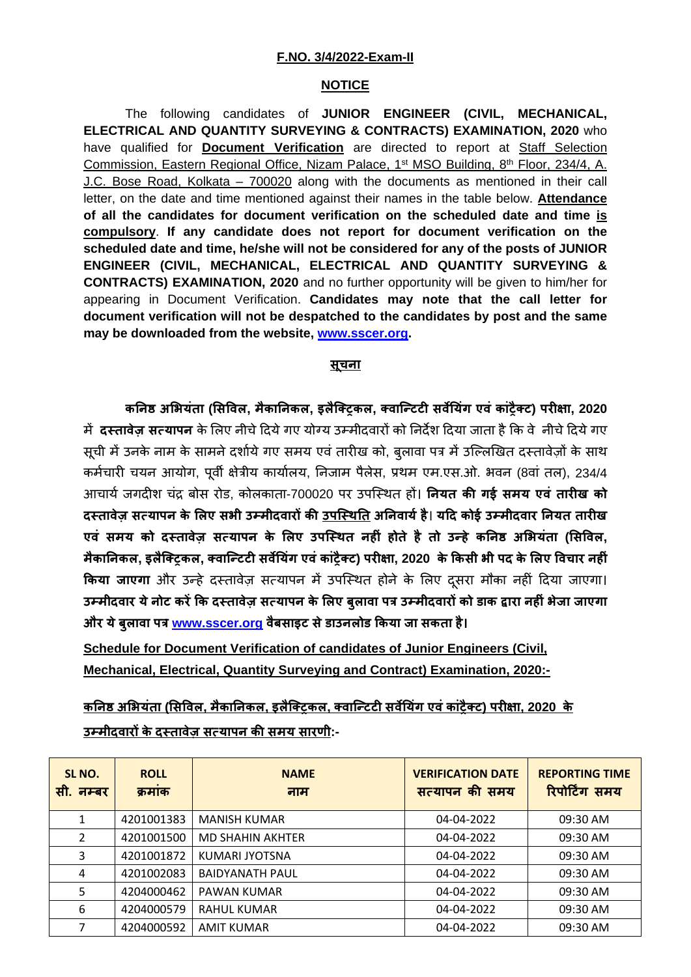## **F.NO. 3/4/2022-Exam-II**

## **NOTICE**

The following candidates of **JUNIOR ENGINEER (CIVIL, MECHANICAL, ELECTRICAL AND QUANTITY SURVEYING & CONTRACTS) EXAMINATION, 2020** who have qualified for **Document Verification** are directed to report at Staff Selection Commission, Eastern Regional Office, Nizam Palace, 1<sup>st</sup> MSO Building, 8<sup>th</sup> Floor, 234/4, A. J.C. Bose Road, Kolkata – 700020 along with the documents as mentioned in their call letter, on the date and time mentioned against their names in the table below. **Attendance of all the candidates for document verification on the scheduled date and time is compulsory**. **If any candidate does not report for document verification on the scheduled date and time, he/she will not be considered for any of the posts of JUNIOR ENGINEER (CIVIL, MECHANICAL, ELECTRICAL AND QUANTITY SURVEYING & CONTRACTS) EXAMINATION, 2020** and no further opportunity will be given to him/her for appearing in Document Verification. **Candidates may note that the call letter for document verification will not be despatched to the candidates by post and the same may be downloaded from the website, [www.sscer.org.](http://www.sscer.org/)**

## **सूचना**

**क�न� अ�भयंता (�स�वल, मैका�नकल, इलैिक्ट्रकल, क्वािन्टट� सव��यंग एवं कांट्रैक्ट) पर��ा, 2020** म� **दस्तावेज़ सत्यापन** के �लए नीचे�दयेगए योग्य उम्मीदवार� को �नद�श �दया जाता है�क वे नीचे�दयेगए सूची में उनके नाम के सामने दर्शाये गए समय एवं तारीख को, बुलावा पत्र में उल्लिखित दस्तावेजों के साथ कर्मचारी चयन आयोग, पूर्वी क्षेत्रीय कार्यालय, निजाम पैलेस, प्रथम एम.एस.ओ. भवन (8वां तल), 234/4 आचायर् जगद�श चंद्र बोस रोड, कोलकाता-700020 पर उपिस्थत ह�। **�नयत क� गई समय एवं तार�ख को दस्तावेज़ सत्यापन के �लए सभी उम्मीदवार� क� उपिस्थ�त अ�नवायर्है**। **य�द कोई उम्मीदवार �नयत तार�ख एवं समय को दस्तावेज़ सत्यापन के �लए उपिस्थत नह�ं होते है तो उन्हे क�न� अ�भयंता (�स�वल,** मैकानिकल, इलैक्ट्किल, क्वान्टिटी सर्वेयिंग एवं कांट्रैक्ट) परीक्षा, 2020 के किसी भी पद के लिए विचार नहीं **किया जाएगा** और उन्हें दस्तावेज़ सत्यापन में उपस्थित होने के लिए दूसरा मौका नहीं दिया जाएगा। **उम्मीदवार येनोट कर��क दस्तावेज़ सत्यापन के �लए बुलावा पत्र उम्मीदवार� को डाक �ारा नह�ंभेजा जाएगा और येबुलावा पत्र [www.sscer.org](http://www.sscer.org/) वैबसाइट सेडाउनलोड �कया जा सकता है।**

**Schedule for Document Verification of candidates of Junior Engineers (Civil, Mechanical, Electrical, Quantity Surveying and Contract) Examination, 2020:-**

**क�न� अ�भयंता (�स�वल, मैका�नकल, इलैिक्ट्रकल, क्वािन्टट� सव��यंग एवंकांट्रैक्ट) पर��ा, 2020 के उम्मीदवार� के दस्तावेज़ सत्यापन क� समय सारणी:-**

| SL NO.<br>सी. नम्बर | <b>ROLL</b><br>क्रमाक | <b>NAME</b><br>नाम      | <b>VERIFICATION DATE</b><br>सत्यापन की समय | <b>REPORTING TIME</b><br>रिपोर्टिंग समय |
|---------------------|-----------------------|-------------------------|--------------------------------------------|-----------------------------------------|
|                     | 4201001383            | <b>MANISH KUMAR</b>     | 04-04-2022                                 | 09:30 AM                                |
| $\overline{2}$      | 4201001500            | <b>MD SHAHIN AKHTER</b> | 04-04-2022                                 | 09:30 AM                                |
| 3                   | 4201001872            | KUMARI JYOTSNA          | 04-04-2022                                 | 09:30 AM                                |
| 4                   | 4201002083            | <b>BAIDYANATH PAUL</b>  | 04-04-2022                                 | 09:30 AM                                |
| 5                   | 4204000462            | PAWAN KUMAR             | 04-04-2022                                 | 09:30 AM                                |
| 6                   | 4204000579            | <b>RAHUL KUMAR</b>      | 04-04-2022                                 | 09:30 AM                                |
| 7                   | 4204000592            | <b>AMIT KUMAR</b>       | 04-04-2022                                 | 09:30 AM                                |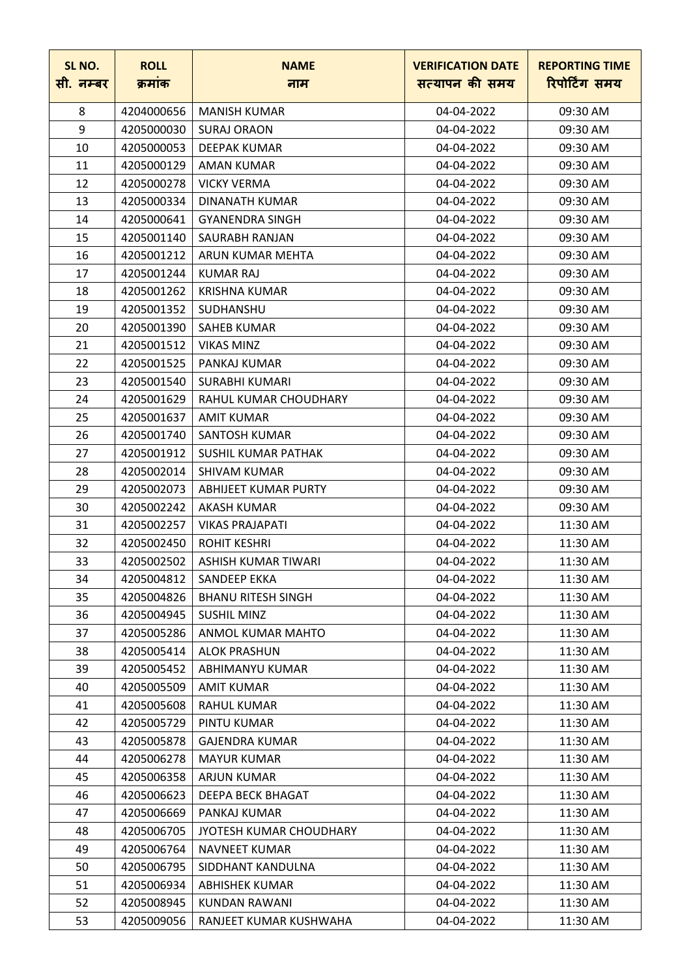| SL NO.<br>सी. नम्बर | <b>ROLL</b><br>क्रमांक | <b>NAME</b><br>नाम        | <b>VERIFICATION DATE</b><br>सत्यापन की समय | <b>REPORTING TIME</b><br>रिपोर्टिंग समय |
|---------------------|------------------------|---------------------------|--------------------------------------------|-----------------------------------------|
| 8                   | 4204000656             | <b>MANISH KUMAR</b>       | 04-04-2022                                 | 09:30 AM                                |
| 9                   | 4205000030             | <b>SURAJ ORAON</b>        | 04-04-2022                                 | 09:30 AM                                |
| 10                  | 4205000053             | <b>DEEPAK KUMAR</b>       | 04-04-2022                                 | 09:30 AM                                |
| 11                  | 4205000129             | <b>AMAN KUMAR</b>         | 04-04-2022                                 | 09:30 AM                                |
| 12                  | 4205000278             | <b>VICKY VERMA</b>        | 04-04-2022                                 | 09:30 AM                                |
|                     |                        |                           |                                            |                                         |
| 13                  | 4205000334             | DINANATH KUMAR            | 04-04-2022                                 | 09:30 AM                                |
| 14                  | 4205000641             | <b>GYANENDRA SINGH</b>    | 04-04-2022                                 | 09:30 AM                                |
| 15                  | 4205001140             | SAURABH RANJAN            | 04-04-2022                                 | 09:30 AM                                |
| 16                  | 4205001212             | ARUN KUMAR MEHTA          | 04-04-2022                                 | 09:30 AM                                |
| 17                  | 4205001244             | KUMAR RAJ                 | 04-04-2022                                 | 09:30 AM                                |
| 18                  | 4205001262             | <b>KRISHNA KUMAR</b>      | 04-04-2022                                 | 09:30 AM                                |
| 19                  | 4205001352             | <b>SUDHANSHU</b>          | 04-04-2022                                 | 09:30 AM                                |
| 20                  | 4205001390             | <b>SAHEB KUMAR</b>        | 04-04-2022                                 | 09:30 AM                                |
| 21                  | 4205001512             | <b>VIKAS MINZ</b>         | 04-04-2022                                 | 09:30 AM                                |
| 22                  | 4205001525             | PANKAJ KUMAR              | 04-04-2022                                 | 09:30 AM                                |
| 23                  | 4205001540             | <b>SURABHI KUMARI</b>     | 04-04-2022                                 | 09:30 AM                                |
| 24                  | 4205001629             | RAHUL KUMAR CHOUDHARY     | 04-04-2022                                 | 09:30 AM                                |
| 25                  | 4205001637             | <b>AMIT KUMAR</b>         | 04-04-2022                                 | 09:30 AM                                |
| 26                  | 4205001740             | <b>SANTOSH KUMAR</b>      | 04-04-2022                                 | 09:30 AM                                |
| 27                  | 4205001912             | SUSHIL KUMAR PATHAK       | 04-04-2022                                 | 09:30 AM                                |
| 28                  | 4205002014             | <b>SHIVAM KUMAR</b>       | 04-04-2022                                 | 09:30 AM                                |
| 29                  | 4205002073             | ABHIJEET KUMAR PURTY      | 04-04-2022                                 | 09:30 AM                                |
| 30                  | 4205002242             | <b>AKASH KUMAR</b>        | 04-04-2022                                 | 09:30 AM                                |
| 31                  | 4205002257             | <b>VIKAS PRAJAPATI</b>    | 04-04-2022                                 | 11:30 AM                                |
| 32                  | 4205002450             | <b>ROHIT KESHRI</b>       | 04-04-2022                                 | 11:30 AM                                |
| 33                  | 4205002502             | ASHISH KUMAR TIWARI       | 04-04-2022                                 | 11:30 AM                                |
| 34                  | 4205004812             | SANDEEP EKKA              | 04-04-2022                                 | 11:30 AM                                |
| 35                  | 4205004826             | <b>BHANU RITESH SINGH</b> | 04-04-2022                                 | 11:30 AM                                |
| 36                  | 4205004945             | <b>SUSHIL MINZ</b>        | 04-04-2022                                 | 11:30 AM                                |
| 37                  | 4205005286             | ANMOL KUMAR MAHTO         | 04-04-2022                                 | 11:30 AM                                |
| 38                  | 4205005414             | <b>ALOK PRASHUN</b>       | 04-04-2022                                 | 11:30 AM                                |
| 39                  | 4205005452             | ABHIMANYU KUMAR           | 04-04-2022                                 | 11:30 AM                                |
| 40                  | 4205005509             | <b>AMIT KUMAR</b>         | 04-04-2022                                 | 11:30 AM                                |
| 41                  | 4205005608             | <b>RAHUL KUMAR</b>        | 04-04-2022                                 | 11:30 AM                                |
| 42                  | 4205005729             | PINTU KUMAR               | 04-04-2022                                 | 11:30 AM                                |
| 43                  | 4205005878             | <b>GAJENDRA KUMAR</b>     | 04-04-2022                                 | 11:30 AM                                |
| 44                  | 4205006278             | <b>MAYUR KUMAR</b>        | 04-04-2022                                 | 11:30 AM                                |
| 45                  | 4205006358             | ARJUN KUMAR               | 04-04-2022                                 | 11:30 AM                                |
| 46                  | 4205006623             | DEEPA BECK BHAGAT         | 04-04-2022                                 | 11:30 AM                                |
| 47                  | 4205006669             | PANKAJ KUMAR              | 04-04-2022                                 | 11:30 AM                                |
| 48                  | 4205006705             | JYOTESH KUMAR CHOUDHARY   | 04-04-2022                                 | 11:30 AM                                |
| 49                  | 4205006764             | NAVNEET KUMAR             | 04-04-2022                                 | 11:30 AM                                |
| 50                  | 4205006795             | SIDDHANT KANDULNA         | 04-04-2022                                 | 11:30 AM                                |
| 51                  | 4205006934             | ABHISHEK KUMAR            | 04-04-2022                                 | 11:30 AM                                |
| 52                  | 4205008945             | <b>KUNDAN RAWANI</b>      | 04-04-2022                                 | 11:30 AM                                |
| 53                  | 4205009056             | RANJEET KUMAR KUSHWAHA    | 04-04-2022                                 | 11:30 AM                                |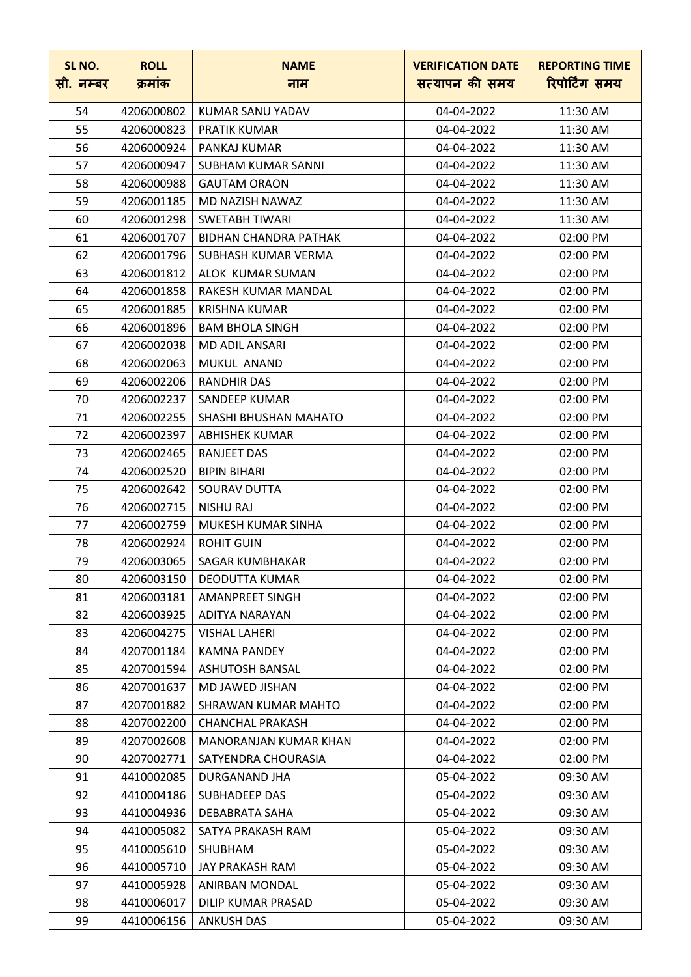| SL NO.<br>सी. नम्बर | <b>ROLL</b><br>क्रमांक | <b>NAME</b><br>नाम           | <b>VERIFICATION DATE</b><br>सत्यापन की समय | <b>REPORTING TIME</b><br>रिपोर्टिंग समय |
|---------------------|------------------------|------------------------------|--------------------------------------------|-----------------------------------------|
| 54                  | 4206000802             | KUMAR SANU YADAV             | 04-04-2022                                 | 11:30 AM                                |
| 55                  | 4206000823             | <b>PRATIK KUMAR</b>          | 04-04-2022                                 | 11:30 AM                                |
| 56                  | 4206000924             | PANKAJ KUMAR                 | 04-04-2022                                 | 11:30 AM                                |
| 57                  | 4206000947             | <b>SUBHAM KUMAR SANNI</b>    | 04-04-2022                                 | 11:30 AM                                |
| 58                  | 4206000988             | <b>GAUTAM ORAON</b>          | 04-04-2022                                 | 11:30 AM                                |
| 59                  | 4206001185             | MD NAZISH NAWAZ              | 04-04-2022                                 | 11:30 AM                                |
| 60                  | 4206001298             | <b>SWETABH TIWARI</b>        | 04-04-2022                                 | 11:30 AM                                |
| 61                  | 4206001707             | <b>BIDHAN CHANDRA PATHAK</b> | 04-04-2022                                 | 02:00 PM                                |
| 62                  | 4206001796             | SUBHASH KUMAR VERMA          | 04-04-2022                                 | 02:00 PM                                |
| 63                  | 4206001812             | ALOK KUMAR SUMAN             | 04-04-2022                                 | 02:00 PM                                |
| 64                  | 4206001858             | <b>RAKESH KUMAR MANDAL</b>   | 04-04-2022                                 | 02:00 PM                                |
| 65                  | 4206001885             | KRISHNA KUMAR                | 04-04-2022                                 | 02:00 PM                                |
| 66                  | 4206001896             | <b>BAM BHOLA SINGH</b>       | 04-04-2022                                 | 02:00 PM                                |
| 67                  | 4206002038             | <b>MD ADIL ANSARI</b>        | 04-04-2022                                 | 02:00 PM                                |
| 68                  | 4206002063             | MUKUL ANAND                  | 04-04-2022                                 | 02:00 PM                                |
| 69                  | 4206002206             | <b>RANDHIR DAS</b>           | 04-04-2022                                 | 02:00 PM                                |
| 70                  | 4206002237             | SANDEEP KUMAR                | 04-04-2022                                 | 02:00 PM                                |
| 71                  | 4206002255             | SHASHI BHUSHAN MAHATO        | 04-04-2022                                 | 02:00 PM                                |
| 72                  | 4206002397             | ABHISHEK KUMAR               | 04-04-2022                                 | 02:00 PM                                |
| 73                  | 4206002465             | <b>RANJEET DAS</b>           | 04-04-2022                                 | 02:00 PM                                |
| 74                  | 4206002520             | <b>BIPIN BIHARI</b>          | 04-04-2022                                 | 02:00 PM                                |
| 75                  | 4206002642             | SOURAV DUTTA                 | 04-04-2022                                 | 02:00 PM                                |
| 76                  | 4206002715             | <b>NISHU RAJ</b>             | 04-04-2022                                 | 02:00 PM                                |
| 77                  | 4206002759             | MUKESH KUMAR SINHA           | 04-04-2022                                 | 02:00 PM                                |
| 78                  | 4206002924             | <b>ROHIT GUIN</b>            | 04-04-2022                                 | 02:00 PM                                |
| 79                  | 4206003065             | SAGAR KUMBHAKAR              | 04-04-2022                                 | 02:00 PM                                |
| 80                  | 4206003150             | <b>DEODUTTA KUMAR</b>        | 04-04-2022                                 | 02:00 PM                                |
| 81                  | 4206003181             | <b>AMANPREET SINGH</b>       | 04-04-2022                                 | 02:00 PM                                |
| 82                  | 4206003925             | ADITYA NARAYAN               | 04-04-2022                                 | 02:00 PM                                |
| 83                  | 4206004275             | <b>VISHAL LAHERI</b>         | 04-04-2022                                 | 02:00 PM                                |
| 84                  | 4207001184             | <b>KAMNA PANDEY</b>          | 04-04-2022                                 | 02:00 PM                                |
| 85                  | 4207001594             | <b>ASHUTOSH BANSAL</b>       | 04-04-2022                                 | 02:00 PM                                |
| 86                  | 4207001637             | MD JAWED JISHAN              | 04-04-2022                                 | 02:00 PM                                |
| 87                  | 4207001882             | SHRAWAN KUMAR MAHTO          | 04-04-2022                                 | 02:00 PM                                |
| 88                  | 4207002200             | <b>CHANCHAL PRAKASH</b>      | 04-04-2022                                 | 02:00 PM                                |
| 89                  | 4207002608             | MANORANJAN KUMAR KHAN        | 04-04-2022                                 | 02:00 PM                                |
| 90                  | 4207002771             | SATYENDRA CHOURASIA          | 04-04-2022                                 | 02:00 PM                                |
| 91                  | 4410002085             | DURGANAND JHA                | 05-04-2022                                 | 09:30 AM                                |
| 92                  | 4410004186             | <b>SUBHADEEP DAS</b>         | 05-04-2022                                 | 09:30 AM                                |
| 93                  | 4410004936             | <b>DEBABRATA SAHA</b>        | 05-04-2022                                 | 09:30 AM                                |
| 94                  | 4410005082             | SATYA PRAKASH RAM            | 05-04-2022                                 | 09:30 AM                                |
| 95                  | 4410005610             | SHUBHAM                      | 05-04-2022                                 | 09:30 AM                                |
| 96                  | 4410005710             | JAY PRAKASH RAM              | 05-04-2022                                 | 09:30 AM                                |
| 97                  | 4410005928             | ANIRBAN MONDAL               | 05-04-2022                                 | 09:30 AM                                |
| 98                  | 4410006017             | DILIP KUMAR PRASAD           | 05-04-2022                                 | 09:30 AM                                |
| 99                  | 4410006156             | ANKUSH DAS                   | 05-04-2022                                 | 09:30 AM                                |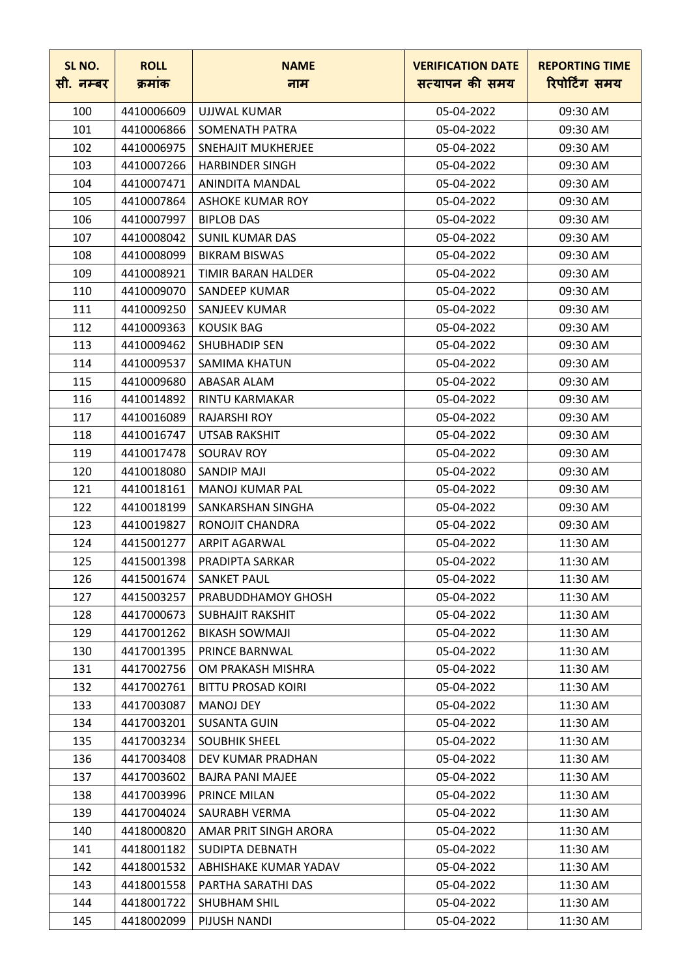| SL NO.<br>सी. नम्बर | <b>ROLL</b><br>क्रमांक | <b>NAME</b>               | <b>VERIFICATION DATE</b><br>सत्यापन की समय | <b>REPORTING TIME</b><br>रिपोर्टिंग समय |
|---------------------|------------------------|---------------------------|--------------------------------------------|-----------------------------------------|
|                     |                        | नाम                       |                                            |                                         |
| 100                 | 4410006609             | UJJWAL KUMAR              | 05-04-2022                                 | 09:30 AM                                |
| 101                 | 4410006866             | <b>SOMENATH PATRA</b>     | 05-04-2022                                 | 09:30 AM                                |
| 102                 | 4410006975             | SNEHAJIT MUKHERJEE        | 05-04-2022                                 | 09:30 AM                                |
| 103                 | 4410007266             | <b>HARBINDER SINGH</b>    | 05-04-2022                                 | 09:30 AM                                |
| 104                 | 4410007471             | ANINDITA MANDAL           | 05-04-2022                                 | 09:30 AM                                |
| 105                 | 4410007864             | ASHOKE KUMAR ROY          | 05-04-2022                                 | 09:30 AM                                |
| 106                 | 4410007997             | <b>BIPLOB DAS</b>         | 05-04-2022                                 | 09:30 AM                                |
| 107                 | 4410008042             | <b>SUNIL KUMAR DAS</b>    | 05-04-2022                                 | 09:30 AM                                |
| 108                 | 4410008099             | <b>BIKRAM BISWAS</b>      | 05-04-2022                                 | 09:30 AM                                |
| 109                 | 4410008921             | TIMIR BARAN HALDER        | 05-04-2022                                 | 09:30 AM                                |
| 110                 | 4410009070             | SANDEEP KUMAR             | 05-04-2022                                 | 09:30 AM                                |
| 111                 | 4410009250             | SANJEEV KUMAR             | 05-04-2022                                 | 09:30 AM                                |
| 112                 | 4410009363             | <b>KOUSIK BAG</b>         | 05-04-2022                                 | 09:30 AM                                |
| 113                 | 4410009462             | <b>SHUBHADIP SEN</b>      | 05-04-2022                                 | 09:30 AM                                |
| 114                 | 4410009537             | <b>SAMIMA KHATUN</b>      | 05-04-2022                                 | 09:30 AM                                |
| 115                 | 4410009680             | ABASAR ALAM               | 05-04-2022                                 | 09:30 AM                                |
| 116                 | 4410014892             | RINTU KARMAKAR            | 05-04-2022                                 | 09:30 AM                                |
| 117                 | 4410016089             | <b>RAJARSHI ROY</b>       | 05-04-2022                                 | 09:30 AM                                |
| 118                 | 4410016747             | <b>UTSAB RAKSHIT</b>      | 05-04-2022                                 | 09:30 AM                                |
| 119                 | 4410017478             | <b>SOURAV ROY</b>         | 05-04-2022                                 | 09:30 AM                                |
| 120                 | 4410018080             | <b>SANDIP MAJI</b>        | 05-04-2022                                 | 09:30 AM                                |
| 121                 | 4410018161             | <b>MANOJ KUMAR PAL</b>    | 05-04-2022                                 | 09:30 AM                                |
| 122                 | 4410018199             | SANKARSHAN SINGHA         | 05-04-2022                                 | 09:30 AM                                |
| 123                 | 4410019827             | RONOJIT CHANDRA           | 05-04-2022                                 | 09:30 AM                                |
| 124                 | 4415001277             | <b>ARPIT AGARWAL</b>      | 05-04-2022                                 | 11:30 AM                                |
| 125                 | 4415001398             | PRADIPTA SARKAR           | 05-04-2022                                 | 11:30 AM                                |
| 126                 | 4415001674             | <b>SANKET PAUL</b>        | 05-04-2022                                 | 11:30 AM                                |
| 127                 | 4415003257             | PRABUDDHAMOY GHOSH        | 05-04-2022                                 | 11:30 AM                                |
| 128                 | 4417000673             | <b>SUBHAJIT RAKSHIT</b>   | 05-04-2022                                 | 11:30 AM                                |
| 129                 | 4417001262             | <b>BIKASH SOWMAJI</b>     | 05-04-2022                                 | 11:30 AM                                |
| 130                 | 4417001395             | PRINCE BARNWAL            | 05-04-2022                                 | 11:30 AM                                |
| 131                 | 4417002756             | OM PRAKASH MISHRA         | 05-04-2022                                 | 11:30 AM                                |
| 132                 | 4417002761             | <b>BITTU PROSAD KOIRI</b> | 05-04-2022                                 | 11:30 AM                                |
| 133                 | 4417003087             | <b>MANOJ DEY</b>          | 05-04-2022                                 | 11:30 AM                                |
| 134                 | 4417003201             | <b>SUSANTA GUIN</b>       | 05-04-2022                                 | 11:30 AM                                |
| 135                 | 4417003234             | <b>SOUBHIK SHEEL</b>      | 05-04-2022                                 | 11:30 AM                                |
| 136                 | 4417003408             | DEV KUMAR PRADHAN         | 05-04-2022                                 | 11:30 AM                                |
| 137                 | 4417003602             | <b>BAJRA PANI MAJEE</b>   | 05-04-2022                                 | 11:30 AM                                |
| 138                 | 4417003996             | PRINCE MILAN              | 05-04-2022                                 | 11:30 AM                                |
| 139                 | 4417004024             | SAURABH VERMA             | 05-04-2022                                 | 11:30 AM                                |
| 140                 | 4418000820             | AMAR PRIT SINGH ARORA     | 05-04-2022                                 | 11:30 AM                                |
| 141                 | 4418001182             | <b>SUDIPTA DEBNATH</b>    | 05-04-2022                                 | 11:30 AM                                |
| 142                 | 4418001532             | ABHISHAKE KUMAR YADAV     | 05-04-2022                                 | 11:30 AM                                |
| 143                 | 4418001558             | PARTHA SARATHI DAS        | 05-04-2022                                 | 11:30 AM                                |
| 144                 | 4418001722             | SHUBHAM SHIL              | 05-04-2022                                 | 11:30 AM                                |
| 145                 | 4418002099             | PIJUSH NANDI              | 05-04-2022                                 | 11:30 AM                                |